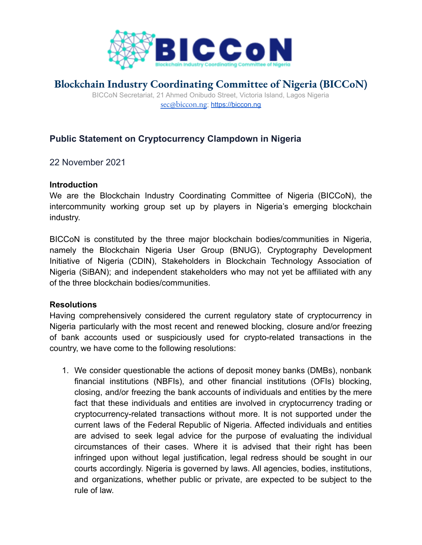

## **Blockchain Industry Coordinating Committee of Nigeria (BICCoN)**

BICCoN Secretariat, 21 Ahmed Onibudo Street, Victoria Island, Lagos Nigeria [sec@biccon.ng](mailto:sec@biccon.org.ng); <https://biccon.ng>

## **Public Statement on Cryptocurrency Clampdown in Nigeria**

22 November 2021

## **Introduction**

We are the Blockchain Industry Coordinating Committee of Nigeria (BICCoN), the intercommunity working group set up by players in Nigeria's emerging blockchain industry.

BICCoN is constituted by the three major blockchain bodies/communities in Nigeria, namely the Blockchain Nigeria User Group (BNUG), Cryptography Development Initiative of Nigeria (CDIN), Stakeholders in Blockchain Technology Association of Nigeria (SiBAN); and independent stakeholders who may not yet be affiliated with any of the three blockchain bodies/communities.

## **Resolutions**

Having comprehensively considered the current regulatory state of cryptocurrency in Nigeria particularly with the most recent and renewed blocking, closure and/or freezing of bank accounts used or suspiciously used for crypto-related transactions in the country, we have come to the following resolutions:

1. We consider questionable the actions of deposit money banks (DMBs), nonbank financial institutions (NBFIs), and other financial institutions (OFIs) blocking, closing, and/or freezing the bank accounts of individuals and entities by the mere fact that these individuals and entities are involved in cryptocurrency trading or cryptocurrency-related transactions without more. It is not supported under the current laws of the Federal Republic of Nigeria. Affected individuals and entities are advised to seek legal advice for the purpose of evaluating the individual circumstances of their cases. Where it is advised that their right has been infringed upon without legal justification, legal redress should be sought in our courts accordingly. Nigeria is governed by laws. All agencies, bodies, institutions, and organizations, whether public or private, are expected to be subject to the rule of law.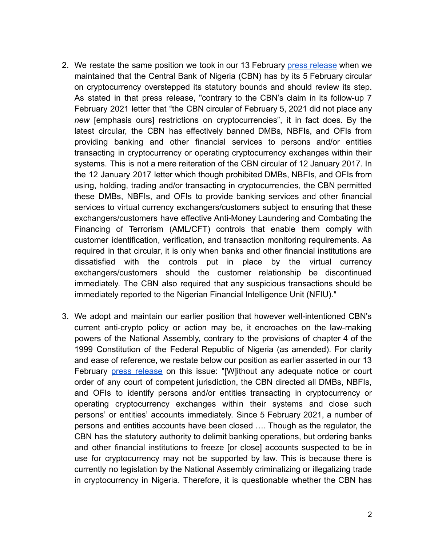- 2. We restate the same position we took in our 13 February press [release](https://drive.google.com/file/d/1odBKsNwsgDH088mY_7j2LFBqmV5g5V6O/view?usp=drivesdk) when we maintained that the Central Bank of Nigeria (CBN) has by its 5 February circular on cryptocurrency overstepped its statutory bounds and should review its step. As stated in that press release, "contrary to the CBN's claim in its follow-up 7 February 2021 letter that "the CBN circular of February 5, 2021 did not place any *new* [emphasis ours] restrictions on cryptocurrencies", it in fact does. By the latest circular, the CBN has effectively banned DMBs, NBFIs, and OFIs from providing banking and other financial services to persons and/or entities transacting in cryptocurrency or operating cryptocurrency exchanges within their systems. This is not a mere reiteration of the CBN circular of 12 January 2017. In the 12 January 2017 letter which though prohibited DMBs, NBFIs, and OFIs from using, holding, trading and/or transacting in cryptocurrencies, the CBN permitted these DMBs, NBFIs, and OFIs to provide banking services and other financial services to virtual currency exchangers/customers subject to ensuring that these exchangers/customers have effective Anti-Money Laundering and Combating the Financing of Terrorism (AML/CFT) controls that enable them comply with customer identification, verification, and transaction monitoring requirements. As required in that circular, it is only when banks and other financial institutions are dissatisfied with the controls put in place by the virtual currency exchangers/customers should the customer relationship be discontinued immediately. The CBN also required that any suspicious transactions should be immediately reported to the Nigerian Financial Intelligence Unit (NFIU)."
- 3. We adopt and maintain our earlier position that however well-intentioned CBN's current anti-crypto policy or action may be, it encroaches on the law-making powers of the National Assembly, contrary to the provisions of chapter 4 of the 1999 Constitution of the Federal Republic of Nigeria (as amended). For clarity and ease of reference, we restate below our position as earlier asserted in our 13 February press [release](https://drive.google.com/file/d/1odBKsNwsgDH088mY_7j2LFBqmV5g5V6O/view?usp=drivesdk) on this issue: "[W]ithout any adequate notice or court order of any court of competent jurisdiction, the CBN directed all DMBs, NBFIs, and OFIs to identify persons and/or entities transacting in cryptocurrency or operating cryptocurrency exchanges within their systems and close such persons' or entities' accounts immediately. Since 5 February 2021, a number of persons and entities accounts have been closed …. Though as the regulator, the CBN has the statutory authority to delimit banking operations, but ordering banks and other financial institutions to freeze [or close] accounts suspected to be in use for cryptocurrency may not be supported by law. This is because there is currently no legislation by the National Assembly criminalizing or illegalizing trade in cryptocurrency in Nigeria. Therefore, it is questionable whether the CBN has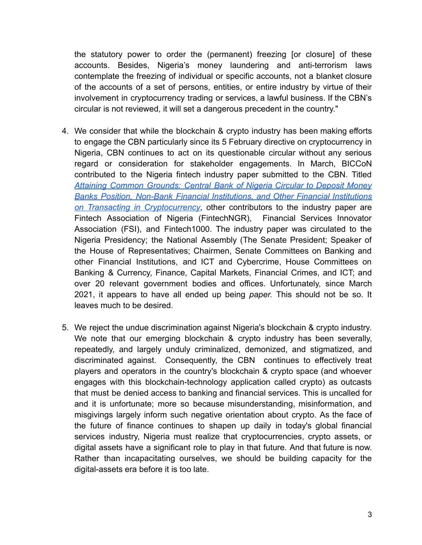the statutory power to order the (permanent) freezing [or closure] of these accounts. Besides, Nigeria's money laundering and anti-terrorism laws contemplate the freezing of individual or specific accounts, not a blanket closure of the accounts of a set of persons, entities, or entire industry by virtue of their involvement in cryptocurrency trading or services, a lawful business. If the CBN's circular is not reviewed, it will set a dangerous precedent in the country."

- 4. We consider that while the blockchain & crypto industry has been making efforts to engage the CBN particularly since its 5 February directive on cryptocurrency in Nigeria, CBN continues to act on its questionable circular without any serious regard or consideration for stakeholder engagements. In March, BICCoN contributed to the Nigeria fintech industry paper submitted to the CBN. Titled *Attaining Common [Grounds:](https://drive.google.com/file/d/1pNrygmnhCgzkekBvTy9qEL27Kn98kt5L/view?usp=drivesdk) Central Bank of Nigeria Circular to Deposit Money Banks Position, Non-Bank Financial [Institutions,](https://drive.google.com/file/d/1pNrygmnhCgzkekBvTy9qEL27Kn98kt5L/view?usp=drivesdk) and Other Financial Institutions on Transacting in [Cryptocurrency](https://drive.google.com/file/d/1pNrygmnhCgzkekBvTy9qEL27Kn98kt5L/view?usp=drivesdk)*, other contributors to the industry paper are Fintech Association of Nigeria (FintechNGR), Financial Services Innovator Association (FSI), and Fintech1000. The industry paper was circulated to the Nigeria Presidency; the National Assembly (The Senate President; Speaker of the House of Representatives; Chairmen, Senate Committees on Banking and other Financial Institutions, and ICT and Cybercrime, House Committees on Banking & Currency, Finance, Capital Markets, Financial Crimes, and ICT; and over 20 relevant government bodies and offices. Unfortunately, since March 2021, it appears to have all ended up being *paper.* This should not be so. It leaves much to be desired.
- 5. We reject the undue discrimination against Nigeria's blockchain & crypto industry. We note that our emerging blockchain & crypto industry has been severally, repeatedly, and largely unduly criminalized, demonized, and stigmatized, and discriminated against. Consequently, the CBN continues to effectively treat players and operators in the country's blockchain & crypto space (and whoever engages with this blockchain-technology application called crypto) as outcasts that must be denied access to banking and financial services. This is uncalled for and it is unfortunate; more so because misunderstanding, misinformation, and misgivings largely inform such negative orientation about crypto. As the face of the future of finance continues to shapen up daily in today's global financial services industry, Nigeria must realize that cryptocurrencies, crypto assets, or digital assets have a significant role to play in that future. And that future is now. Rather than incapacitating ourselves, we should be building capacity for the digital-assets era before it is too late.